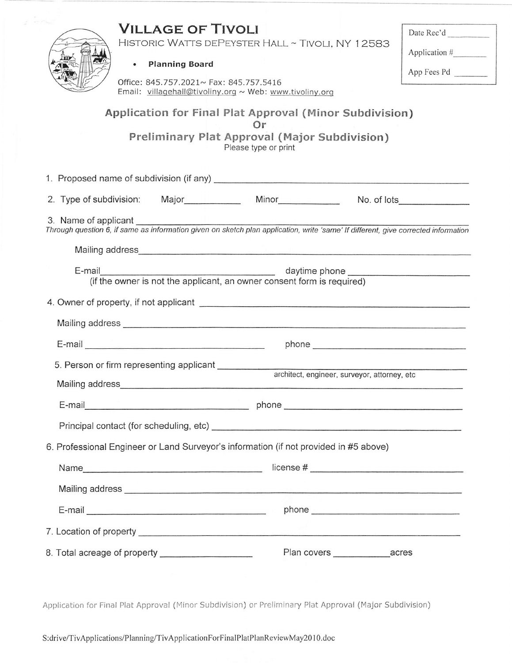## **VILLAGE OF TIVOLI**

Date Rec'd

HISTORIC WATTS DEPEYSTER HALL ~ TIVOLI, NY 12583

| <b>Planning Board</b> |  |
|-----------------------|--|

Office: 845.757.2021~ Fax: 845.757.5416 Email: villagehall@tivoliny.org ~ Web: www.tivoliny.org

| Application # |  |
|---------------|--|

App Fees Pd

## Application for Final Plat Approval (Minor Subdivision) Or

Preliminary Plat Approval (Major Subdivision) Please type or print

|                                                     |                                                                                                                         | 2. Type of subdivision: Major Minor Minor No. of lots                                                                                                      |  |  |
|-----------------------------------------------------|-------------------------------------------------------------------------------------------------------------------------|------------------------------------------------------------------------------------------------------------------------------------------------------------|--|--|
|                                                     |                                                                                                                         | 3. Name of applicant<br>Through question 6, if same as information given on sketch plan application, write 'same' If different, give corrected information |  |  |
|                                                     |                                                                                                                         |                                                                                                                                                            |  |  |
|                                                     | E-mail daytime phone daytime phone daytime phone (if the owner is not the applicant, an owner consent form is required) |                                                                                                                                                            |  |  |
|                                                     |                                                                                                                         |                                                                                                                                                            |  |  |
|                                                     |                                                                                                                         |                                                                                                                                                            |  |  |
|                                                     |                                                                                                                         |                                                                                                                                                            |  |  |
|                                                     |                                                                                                                         |                                                                                                                                                            |  |  |
|                                                     |                                                                                                                         |                                                                                                                                                            |  |  |
|                                                     |                                                                                                                         |                                                                                                                                                            |  |  |
|                                                     |                                                                                                                         |                                                                                                                                                            |  |  |
|                                                     | 6. Professional Engineer or Land Surveyor's information (if not provided in #5 above)                                   |                                                                                                                                                            |  |  |
|                                                     |                                                                                                                         |                                                                                                                                                            |  |  |
|                                                     |                                                                                                                         |                                                                                                                                                            |  |  |
|                                                     |                                                                                                                         |                                                                                                                                                            |  |  |
|                                                     |                                                                                                                         |                                                                                                                                                            |  |  |
| 8. Total acreage of property ______________________ |                                                                                                                         |                                                                                                                                                            |  |  |

Application for Final Plat Approval (Minor Subdivision) or Preliminary Plat Approval (Major Subdivision)